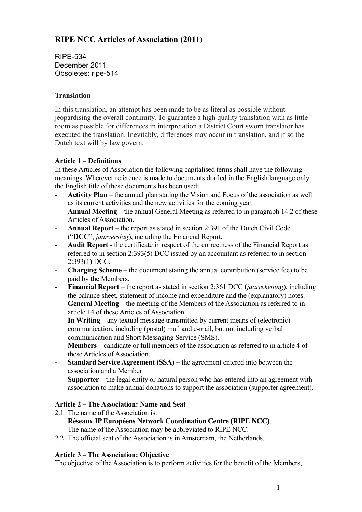# **RIPE NCC Articles of Association (2011)**

RIPE-534 December 2011 Obsoletes: ripe-514

### **Translation**

In this translation, an attempt has been made to be as literal as possible without jeopardising the overall continuity. To guarantee a high quality translation with as little room as possible for differences in interpretation a District Court sworn translator has executed the translation. Inevitably, differences may occur in translation, and if so the Dutch text will by law govern.

### **Article 1 – Definitions**

In these Articles of Association the following capitalised terms shall have the following meanings. Wherever reference is made to documents drafted in the English language only the English title of these documents has been used:

- **Activity Plan**  the annual plan stating the Vision and Focus of the association as well as its current activities and the new activities for the coming year.
- **Annual Meeting** the annual General Meeting as referred to in paragraph 14.2 of these Articles of Association.
- **Annual Report**  the report as stated in section 2:391 of the Dutch Civil Code ("**DCC**"; *jaarverslag*), including the Financial Report.
- **Audit Report** the certificate in respect of the correctness of the Financial Report as referred to in section 2:393(5) DCC issued by an accountant as referred to in section 2:393(1) DCC.
- **Charging Scheme** the document stating the annual contribution (service fee) to be paid by the Members.
- **Financial Report** the report as stated in section 2:361 DCC (*jaarrekening*), including the balance sheet, statement of income and expenditure and the (explanatory) notes.
- **General Meeting** the meeting of the Members of the Association as referred to in article 14 of these Articles of Association.
- **In Writing** any textual message transmitted by current means of (electronic) communication, including (postal) mail and e-mail, but not including verbal communication and Short Messaging Service (SMS).
- **Members**  candidate or full members of the association as referred to in article 4 of these Articles of Association.
- **Standard Service Agreement (SSA)** the agreement entered into between the association and a Member
- **Supporter** the legal entity or natural person who has entered into an agreement with association to make annual donations to support the association (supporter agreement).

### **Article 2 – The Association: Name and Seat**

- 2.1 The name of the Association is: **Réseaux IP Européens Network Coordination Centre (RIPE NCC)**. The name of the Association may be abbreviated to RIPE NCC.
- 2.2 The official seat of the Association is in Amsterdam, the Netherlands.

## **Article 3 – The Association: Objective**

The objective of the Association is to perform activities for the benefit of the Members,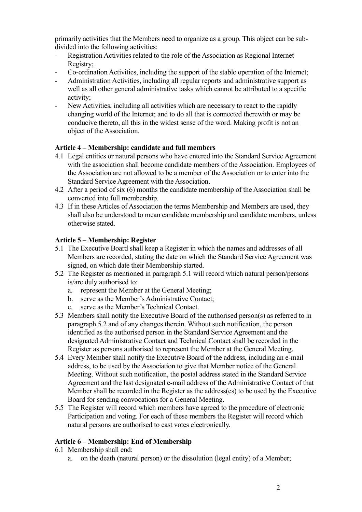primarily activities that the Members need to organize as a group. This object can be subdivided into the following activities:

- Registration Activities related to the role of the Association as Regional Internet Registry;
- Co-ordination Activities, including the support of the stable operation of the Internet;
- Administration Activities, including all regular reports and administrative support as well as all other general administrative tasks which cannot be attributed to a specific activity;
- New Activities, including all activities which are necessary to react to the rapidly changing world of the Internet; and to do all that is connected therewith or may be conducive thereto, all this in the widest sense of the word. Making profit is not an object of the Association.

### **Article 4 – Membership: candidate and full members**

- 4.1 Legal entities or natural persons who have entered into the Standard Service Agreement with the association shall become candidate members of the Association. Employees of the Association are not allowed to be a member of the Association or to enter into the Standard Service Agreement with the Association.
- 4.2 After a period of six (6) months the candidate membership of the Association shall be converted into full membership.
- 4.3 If in these Articles of Association the terms Membership and Members are used, they shall also be understood to mean candidate membership and candidate members, unless otherwise stated.

### **Article 5 – Membership: Register**

- 5.1 The Executive Board shall keep a Register in which the names and addresses of all Members are recorded, stating the date on which the Standard Service Agreement was signed, on which date their Membership started.
- 5.2 The Register as mentioned in paragraph 5.1 will record which natural person/persons is/are duly authorised to:
	- a. represent the Member at the General Meeting;
	- b. serve as the Member's Administrative Contact;
	- c. serve as the Member's Technical Contact.
- 5.3 Members shall notify the Executive Board of the authorised person(s) as referred to in paragraph 5.2 and of any changes therein. Without such notification, the person identified as the authorised person in the Standard Service Agreement and the designated Administrative Contact and Technical Contact shall be recorded in the Register as persons authorised to represent the Member at the General Meeting.
- 5.4 Every Member shall notify the Executive Board of the address, including an e-mail address, to be used by the Association to give that Member notice of the General Meeting. Without such notification, the postal address stated in the Standard Service Agreement and the last designated e-mail address of the Administrative Contact of that Member shall be recorded in the Register as the address(es) to be used by the Executive Board for sending convocations for a General Meeting.
- 5.5 The Register will record which members have agreed to the procedure of electronic Participation and voting. For each of these members the Register will record which natural persons are authorised to cast votes electronically.

### **Article 6 – Membership: End of Membership**

- 6.1 Membership shall end:
	- a. on the death (natural person) or the dissolution (legal entity) of a Member;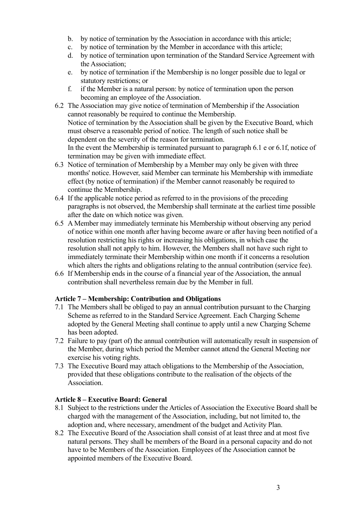- b. by notice of termination by the Association in accordance with this article;
- c. by notice of termination by the Member in accordance with this article;
- d. by notice of termination upon termination of the Standard Service Agreement with the Association;
- e. by notice of termination if the Membership is no longer possible due to legal or statutory restrictions; or
- f. if the Member is a natural person: by notice of termination upon the person becoming an employee of the Association.
- 6.2 The Association may give notice of termination of Membership if the Association cannot reasonably be required to continue the Membership. Notice of termination by the Association shall be given by the Executive Board, which must observe a reasonable period of notice. The length of such notice shall be dependent on the severity of the reason for termination. In the event the Membership is terminated pursuant to paragraph 6.1 e or 6.1f, notice of termination may be given with immediate effect.
- 6.3 Notice of termination of Membership by a Member may only be given with three months' notice. However, said Member can terminate his Membership with immediate effect (by notice of termination) if the Member cannot reasonably be required to continue the Membership.
- 6.4 If the applicable notice period as referred to in the provisions of the preceding paragraphs is not observed, the Membership shall terminate at the earliest time possible after the date on which notice was given.
- 6.5 A Member may immediately terminate his Membership without observing any period of notice within one month after having become aware or after having been notified of a resolution restricting his rights or increasing his obligations, in which case the resolution shall not apply to him. However, the Members shall not have such right to immediately terminate their Membership within one month if it concerns a resolution which alters the rights and obligations relating to the annual contribution (service fee).
- 6.6 If Membership ends in the course of a financial year of the Association, the annual contribution shall nevertheless remain due by the Member in full.

### **Article 7 – Membership: Contribution and Obligations**

- 7.1 The Members shall be obliged to pay an annual contribution pursuant to the Charging Scheme as referred to in the Standard Service Agreement. Each Charging Scheme adopted by the General Meeting shall continue to apply until a new Charging Scheme has been adopted.
- 7.2 Failure to pay (part of) the annual contribution will automatically result in suspension of the Member, during which period the Member cannot attend the General Meeting nor exercise his voting rights.
- 7.3 The Executive Board may attach obligations to the Membership of the Association, provided that these obligations contribute to the realisation of the objects of the Association.

### **Article 8 – Executive Board: General**

- 8.1 Subject to the restrictions under the Articles of Association the Executive Board shall be charged with the management of the Association, including, but not limited to, the adoption and, where necessary, amendment of the budget and Activity Plan.
- 8.2 The Executive Board of the Association shall consist of at least three and at most five natural persons. They shall be members of the Board in a personal capacity and do not have to be Members of the Association. Employees of the Association cannot be appointed members of the Executive Board.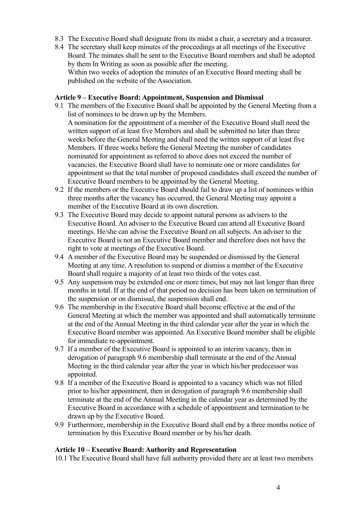- 8.3 The Executive Board shall designate from its midst a chair, a secretary and a treasurer.
- 8.4 The secretary shall keep minutes of the proceedings at all meetings of the Executive Board. The minutes shall be sent to the Executive Board members and shall be adopted by them In Writing as soon as possible after the meeting. Within two weeks of adoption the minutes of an Executive Board meeting shall be published on the website of the Association.

#### **Article 9 – Executive Board: Appointment, Suspension and Dismissal**

- 9.1 The members of the Executive Board shall be appointed by the General Meeting from a list of nominees to be drawn up by the Members. A nomination for the appointment of a member of the Executive Board shall need the written support of at least five Members and shall be submitted no later than three weeks before the General Meeting and shall need the written support of at least five Members. If three weeks before the General Meeting the number of candidates nominated for appointment as referred to above does not exceed the number of vacancies, the Executive Board shall have to nominate one or more candidates for appointment so that the total number of proposed candidates shall exceed the number of Executive Board members to be appointed by the General Meeting.
- 9.2 If the members or the Executive Board should fail to draw up a list of nominees within three months after the vacancy has occurred, the General Meeting may appoint a member of the Executive Board at its own discretion.
- 9.3 The Executive Board may decide to appoint natural persons as advisers to the Executive Board. An adviser to the Executive Board can attend all Executive Board meetings. He/she can advise the Executive Board on all subjects. An adviser to the Executive Board is not an Executive Board member and therefore does not have the right to vote at meetings of the Executive Board.
- 9.4 A member of the Executive Board may be suspended or dismissed by the General Meeting at any time. A resolution to suspend or dismiss a member of the Executive Board shall require a majority of at least two thirds of the votes cast.
- 9.5 Any suspension may be extended one or more times, but may not last longer than three months in total. If at the end of that period no decision has been taken on termination of the suspension or on dismissal, the suspension shall end.
- 9.6 The membership in the Executive Board shall become effective at the end of the General Meeting at which the member was appointed and shall automatically terminate at the end of the Annual Meeting in the third calendar year after the year in which the Executive Board member was appointed. An Executive Board member shall be eligible for immediate re-appointment.
- 9.7 If a member of the Executive Board is appointed to an interim vacancy, then in derogation of paragraph 9.6 membership shall terminate at the end of the Annual Meeting in the third calendar year after the year in which his/her predecessor was appointed.
- 9.8 If a member of the Executive Board is appointed to a vacancy which was not filled prior to his/her appointment, then in derogation of paragraph 9.6 membership shall terminate at the end of the Annual Meeting in the calendar year as determined by the Executive Board in accordance with a schedule of appointment and termination to be drawn up by the Executive Board.
- 9.9 Furthermore, membership in the Executive Board shall end by a three months notice of termination by this Executive Board member or by his/her death.

#### **Article 10 – Executive Board: Authority and Representation**

10.1 The Executive Board shall have full authority provided there are at least two members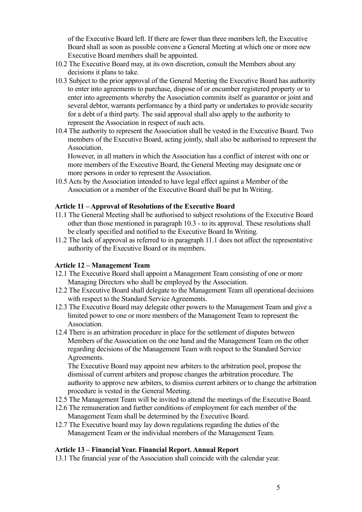of the Executive Board left. If there are fewer than three members left, the Executive Board shall as soon as possible convene a General Meeting at which one or more new Executive Board members shall be appointed.

- 10.2 The Executive Board may, at its own discretion, consult the Members about any decisions it plans to take.
- 10.3 Subject to the prior approval of the General Meeting the Executive Board has authority to enter into agreements to purchase, dispose of or encumber registered property or to enter into agreements whereby the Association commits itself as guarantor or joint and several debtor, warrants performance by a third party or undertakes to provide security for a debt of a third party. The said approval shall also apply to the authority to represent the Association in respect of such acts.
- 10.4 The authority to represent the Association shall be vested in the Executive Board. Two members of the Executive Board, acting jointly, shall also be authorised to represent the **Association**

However, in all matters in which the Association has a conflict of interest with one or more members of the Executive Board, the General Meeting may designate one or more persons in order to represent the Association.

10.5 Acts by the Association intended to have legal effect against a Member of the Association or a member of the Executive Board shall be put In Writing.

#### **Article 11 – Approval of Resolutions of the Executive Board**

- 11.1 The General Meeting shall be authorised to subject resolutions of the Executive Board other than those mentioned in paragraph 10.3 - to its approval. These resolutions shall be clearly specified and notified to the Executive Board In Writing.
- 11.2 The lack of approval as referred to in paragraph 11.1 does not affect the representative authority of the Executive Board or its members.

#### **Article 12 – Management Team**

- 12.1 The Executive Board shall appoint a Management Team consisting of one or more Managing Directors who shall be employed by the Association.
- 12.2 The Executive Board shall delegate to the Management Team all operational decisions with respect to the Standard Service Agreements.
- 12.3 The Executive Board may delegate other powers to the Management Team and give a limited power to one or more members of the Management Team to represent the Association.
- 12.4 There is an arbitration procedure in place for the settlement of disputes between Members of the Association on the one hand and the Management Team on the other regarding decisions of the Management Team with respect to the Standard Service Agreements.

The Executive Board may appoint new arbiters to the arbitration pool, propose the dismissal of current arbiters and propose changes the arbitration procedure. The authority to approve new arbiters, to dismiss current arbiters or to change the arbitration procedure is vested in the General Meeting.

- 12.5 The Management Team will be invited to attend the meetings of the Executive Board.
- 12.6 The remuneration and further conditions of employment for each member of the Management Team shall be determined by the Executive Board.
- 12.7 The Executive board may lay down regulations regarding the duties of the Management Team or the individual members of the Management Team.

#### **Article 13 – Financial Year. Financial Report. Annual Report**

13.1 The financial year of the Association shall coincide with the calendar year.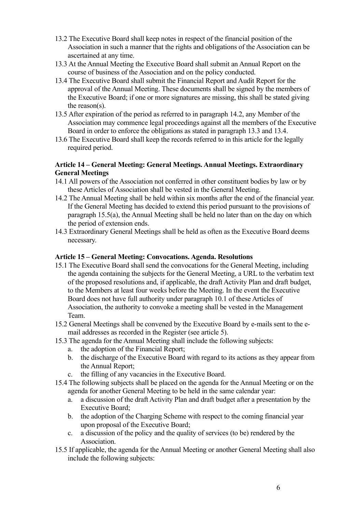- 13.2 The Executive Board shall keep notes in respect of the financial position of the Association in such a manner that the rights and obligations of the Association can be ascertained at any time.
- 13.3 At the Annual Meeting the Executive Board shall submit an Annual Report on the course of business of the Association and on the policy conducted.
- 13.4 The Executive Board shall submit the Financial Report and Audit Report for the approval of the Annual Meeting. These documents shall be signed by the members of the Executive Board; if one or more signatures are missing, this shall be stated giving the reason(s).
- 13.5 After expiration of the period as referred to in paragraph 14.2, any Member of the Association may commence legal proceedings against all the members of the Executive Board in order to enforce the obligations as stated in paragraph 13.3 and 13.4.
- 13.6 The Executive Board shall keep the records referred to in this article for the legally required period.

#### **Article 14 – General Meeting: General Meetings. Annual Meetings. Extraordinary General Meetings**

- 14.1 All powers of the Association not conferred in other constituent bodies by law or by these Articles of Association shall be vested in the General Meeting.
- 14.2 The Annual Meeting shall be held within six months after the end of the financial year. If the General Meeting has decided to extend this period pursuant to the provisions of paragraph 15.5(a), the Annual Meeting shall be held no later than on the day on which the period of extension ends.
- 14.3 Extraordinary General Meetings shall be held as often as the Executive Board deems necessary.

#### **Article 15 – General Meeting: Convocations. Agenda. Resolutions**

- 15.1 The Executive Board shall send the convocations for the General Meeting, including the agenda containing the subjects for the General Meeting, a URL to the verbatim text of the proposed resolutions and, if applicable, the draft Activity Plan and draft budget, to the Members at least four weeks before the Meeting. In the event the Executive Board does not have full authority under paragraph 10.1 of these Articles of Association, the authority to convoke a meeting shall be vested in the Management Team.
- 15.2 General Meetings shall be convened by the Executive Board by e-mails sent to the email addresses as recorded in the Register (see article 5).
- 15.3 The agenda for the Annual Meeting shall include the following subjects:
	- a. the adoption of the Financial Report;
	- b. the discharge of the Executive Board with regard to its actions as they appear from the Annual Report;
	- c. the filling of any vacancies in the Executive Board.
- 15.4 The following subjects shall be placed on the agenda for the Annual Meeting or on the agenda for another General Meeting to be held in the same calendar year:
	- a. a discussion of the draft Activity Plan and draft budget after a presentation by the Executive Board;
	- b. the adoption of the Charging Scheme with respect to the coming financial year upon proposal of the Executive Board;
	- c. a discussion of the policy and the quality of services (to be) rendered by the Association.
- 15.5 If applicable, the agenda for the Annual Meeting or another General Meeting shall also include the following subjects: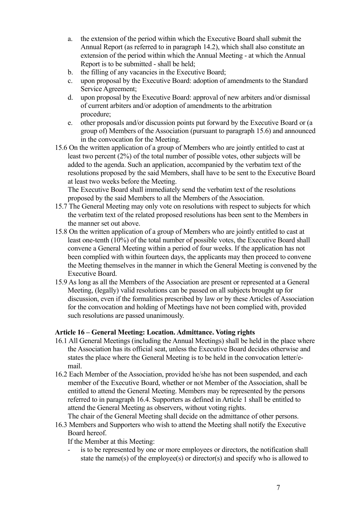- a. the extension of the period within which the Executive Board shall submit the Annual Report (as referred to in paragraph 14.2), which shall also constitute an extension of the period within which the Annual Meeting - at which the Annual Report is to be submitted - shall be held;
- b. the filling of any vacancies in the Executive Board;
- c. upon proposal by the Executive Board: adoption of amendments to the Standard Service Agreement;
- d. upon proposal by the Executive Board: approval of new arbiters and/or dismissal of current arbiters and/or adoption of amendments to the arbitration procedure;
- e. other proposals and/or discussion points put forward by the Executive Board or (a group of) Members of the Association (pursuant to paragraph 15.6) and announced in the convocation for the Meeting.
- 15.6 On the written application of a group of Members who are jointly entitled to cast at least two percent (2%) of the total number of possible votes, other subjects will be added to the agenda. Such an application, accompanied by the verbatim text of the resolutions proposed by the said Members, shall have to be sent to the Executive Board at least two weeks before the Meeting.

The Executive Board shall immediately send the verbatim text of the resolutions proposed by the said Members to all the Members of the Association.

- 15.7 The General Meeting may only vote on resolutions with respect to subjects for which the verbatim text of the related proposed resolutions has been sent to the Members in the manner set out above.
- 15.8 On the written application of a group of Members who are jointly entitled to cast at least one-tenth (10%) of the total number of possible votes, the Executive Board shall convene a General Meeting within a period of four weeks. If the application has not been complied with within fourteen days, the applicants may then proceed to convene the Meeting themselves in the manner in which the General Meeting is convened by the Executive Board.
- 15.9 As long as all the Members of the Association are present or represented at a General Meeting, (legally) valid resolutions can be passed on all subjects brought up for discussion, even if the formalities prescribed by law or by these Articles of Association for the convocation and holding of Meetings have not been complied with, provided such resolutions are passed unanimously.

### **Article 16 – General Meeting: Location. Admittance. Voting rights**

- 16.1 All General Meetings (including the Annual Meetings) shall be held in the place where the Association has its official seat, unless the Executive Board decides otherwise and states the place where the General Meeting is to be held in the convocation letter/email.
- 16.2 Each Member of the Association, provided he/she has not been suspended, and each member of the Executive Board, whether or not Member of the Association, shall be entitled to attend the General Meeting. Members may be represented by the persons referred to in paragraph 16.4. Supporters as defined in Article 1 shall be entitled to attend the General Meeting as observers, without voting rights.
- The chair of the General Meeting shall decide on the admittance of other persons.
- 16.3 Members and Supporters who wish to attend the Meeting shall notify the Executive Board hereof.

If the Member at this Meeting:

is to be represented by one or more employees or directors, the notification shall state the name(s) of the employee(s) or director(s) and specify who is allowed to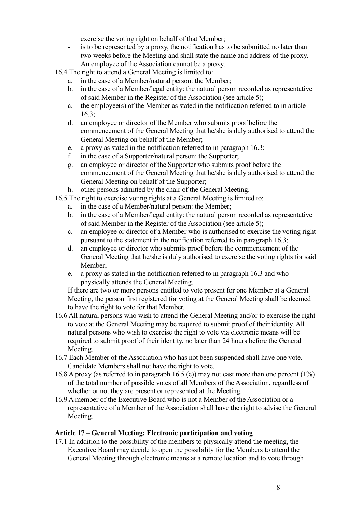exercise the voting right on behalf of that Member;

- is to be represented by a proxy, the notification has to be submitted no later than two weeks before the Meeting and shall state the name and address of the proxy. An employee of the Association cannot be a proxy.

16.4 The right to attend a General Meeting is limited to:

- a. in the case of a Member/natural person: the Member;
- b. in the case of a Member/legal entity: the natural person recorded as representative of said Member in the Register of the Association (see article 5);
- c. the employee(s) of the Member as stated in the notification referred to in article 16.3;
- d. an employee or director of the Member who submits proof before the commencement of the General Meeting that he/she is duly authorised to attend the General Meeting on behalf of the Member;
- e. a proxy as stated in the notification referred to in paragraph 16.3;
- f. in the case of a Supporter/natural person: the Supporter;
- g. an employee or director of the Supporter who submits proof before the commencement of the General Meeting that he/she is duly authorised to attend the General Meeting on behalf of the Supporter;
- h. other persons admitted by the chair of the General Meeting.
- 16.5 The right to exercise voting rights at a General Meeting is limited to:
	- a. in the case of a Member/natural person: the Member;
	- b. in the case of a Member/legal entity: the natural person recorded as representative of said Member in the Register of the Association (see article 5);
	- c. an employee or director of a Member who is authorised to exercise the voting right pursuant to the statement in the notification referred to in paragraph 16.3;
	- d. an employee or director who submits proof before the commencement of the General Meeting that he/she is duly authorised to exercise the voting rights for said Member;
	- e. a proxy as stated in the notification referred to in paragraph 16.3 and who physically attends the General Meeting.

If there are two or more persons entitled to vote present for one Member at a General Meeting, the person first registered for voting at the General Meeting shall be deemed to have the right to vote for that Member.

- 16.6 All natural persons who wish to attend the General Meeting and/or to exercise the right to vote at the General Meeting may be required to submit proof of their identity. All natural persons who wish to exercise the right to vote via electronic means will be required to submit proof of their identity, no later than 24 hours before the General Meeting.
- 16.7 Each Member of the Association who has not been suspended shall have one vote. Candidate Members shall not have the right to vote.
- 16.8 A proxy (as referred to in paragraph 16.5 (e)) may not cast more than one percent (1%) of the total number of possible votes of all Members of the Association, regardless of whether or not they are present or represented at the Meeting.
- 16.9 A member of the Executive Board who is not a Member of the Association or a representative of a Member of the Association shall have the right to advise the General Meeting.

### **Article 17 – General Meeting: Electronic participation and voting**

17.1 In addition to the possibility of the members to physically attend the meeting, the Executive Board may decide to open the possibility for the Members to attend the General Meeting through electronic means at a remote location and to vote through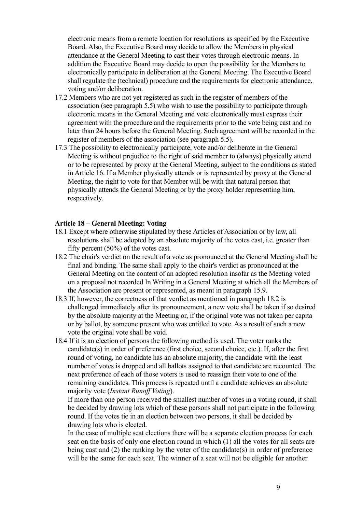electronic means from a remote location for resolutions as specified by the Executive Board. Also, the Executive Board may decide to allow the Members in physical attendance at the General Meeting to cast their votes through electronic means. In addition the Executive Board may decide to open the possibility for the Members to electronically participate in deliberation at the General Meeting. The Executive Board shall regulate the (technical) procedure and the requirements for electronic attendance, voting and/or deliberation.

- 17.2 Members who are not yet registered as such in the register of members of the association (see paragraph 5.5) who wish to use the possibility to participate through electronic means in the General Meeting and vote electronically must express their agreement with the procedure and the requirements prior to the vote being cast and no later than 24 hours before the General Meeting. Such agreement will be recorded in the register of members of the association (see paragraph 5.5).
- 17.3 The possibility to electronically participate, vote and/or deliberate in the General Meeting is without prejudice to the right of said member to (always) physically attend or to be represented by proxy at the General Meeting, subject to the conditions as stated in Article 16. If a Member physically attends or is represented by proxy at the General Meeting, the right to vote for that Member will be with that natural person that physically attends the General Meeting or by the proxy holder representing him, respectively.

#### **Article 18 – General Meeting: Voting**

- 18.1 Except where otherwise stipulated by these Articles of Association or by law, all resolutions shall be adopted by an absolute majority of the votes cast, i.e. greater than fifty percent (50%) of the votes cast.
- 18.2 The chair's verdict on the result of a vote as pronounced at the General Meeting shall be final and binding. The same shall apply to the chair's verdict as pronounced at the General Meeting on the content of an adopted resolution insofar as the Meeting voted on a proposal not recorded In Writing in a General Meeting at which all the Members of the Association are present or represented, as meant in paragraph 15.9.
- 18.3 If, however, the correctness of that verdict as mentioned in paragraph 18.2 is challenged immediately after its pronouncement, a new vote shall be taken if so desired by the absolute majority at the Meeting or, if the original vote was not taken per capita or by ballot, by someone present who was entitled to vote. As a result of such a new vote the original vote shall be void.
- 18.4 If it is an election of persons the following method is used. The voter ranks the candidate(s) in order of preference (first choice, second choice, etc.). If, after the first round of voting, no candidate has an absolute majority, the candidate with the least number of votes is dropped and all ballots assigned to that candidate are recounted. The next preference of each of those voters is used to reassign their vote to one of the remaining candidates. This process is repeated until a candidate achieves an absolute majority vote (*Instant Runoff Voting*).

If more than one person received the smallest number of votes in a voting round, it shall be decided by drawing lots which of these persons shall not participate in the following round. If the votes tie in an election between two persons, it shall be decided by drawing lots who is elected.

In the case of multiple seat elections there will be a separate election process for each seat on the basis of only one election round in which (1) all the votes for all seats are being cast and (2) the ranking by the voter of the candidate(s) in order of preference will be the same for each seat. The winner of a seat will not be eligible for another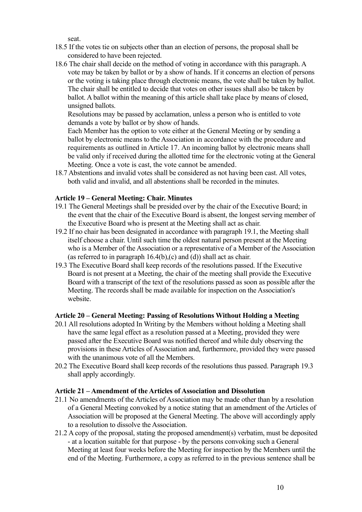seat.

- 18.5 If the votes tie on subjects other than an election of persons, the proposal shall be considered to have been rejected.
- 18.6 The chair shall decide on the method of voting in accordance with this paragraph. A vote may be taken by ballot or by a show of hands. If it concerns an election of persons or the voting is taking place through electronic means, the vote shall be taken by ballot. The chair shall be entitled to decide that votes on other issues shall also be taken by ballot. A ballot within the meaning of this article shall take place by means of closed, unsigned ballots.

Resolutions may be passed by acclamation, unless a person who is entitled to vote demands a vote by ballot or by show of hands.

Each Member has the option to vote either at the General Meeting or by sending a ballot by electronic means to the Association in accordance with the procedure and requirements as outlined in Article 17. An incoming ballot by electronic means shall be valid only if received during the allotted time for the electronic voting at the General Meeting. Once a vote is cast, the vote cannot be amended.

18.7 Abstentions and invalid votes shall be considered as not having been cast. All votes, both valid and invalid, and all abstentions shall be recorded in the minutes.

### **Article 19 – General Meeting: Chair. Minutes**

- 19.1 The General Meetings shall be presided over by the chair of the Executive Board; in the event that the chair of the Executive Board is absent, the longest serving member of the Executive Board who is present at the Meeting shall act as chair.
- 19.2 If no chair has been designated in accordance with paragraph 19.1, the Meeting shall itself choose a chair. Until such time the oldest natural person present at the Meeting who is a Member of the Association or a representative of a Member of the Association (as referred to in paragraph  $16.4(b)$ , (c) and (d)) shall act as chair.
- 19.3 The Executive Board shall keep records of the resolutions passed. If the Executive Board is not present at a Meeting, the chair of the meeting shall provide the Executive Board with a transcript of the text of the resolutions passed as soon as possible after the Meeting. The records shall be made available for inspection on the Association's website.

### **Article 20 – General Meeting: Passing of Resolutions Without Holding a Meeting**

- 20.1 All resolutions adopted In Writing by the Members without holding a Meeting shall have the same legal effect as a resolution passed at a Meeting, provided they were passed after the Executive Board was notified thereof and while duly observing the provisions in these Articles of Association and, furthermore, provided they were passed with the unanimous vote of all the Members.
- 20.2 The Executive Board shall keep records of the resolutions thus passed. Paragraph 19.3 shall apply accordingly.

#### **Article 21 – Amendment of the Articles of Association and Dissolution**

- 21.1 No amendments of the Articles of Association may be made other than by a resolution of a General Meeting convoked by a notice stating that an amendment of the Articles of Association will be proposed at the General Meeting. The above will accordingly apply to a resolution to dissolve the Association.
- 21.2 A copy of the proposal, stating the proposed amendment(s) verbatim, must be deposited - at a location suitable for that purpose - by the persons convoking such a General Meeting at least four weeks before the Meeting for inspection by the Members until the end of the Meeting. Furthermore, a copy as referred to in the previous sentence shall be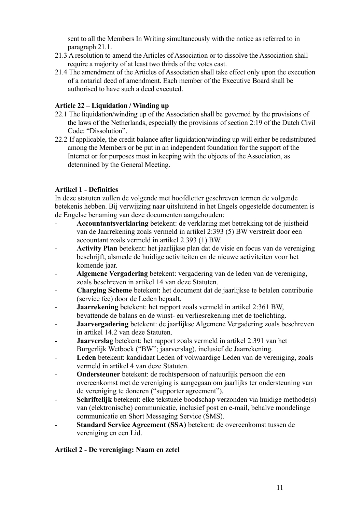sent to all the Members In Writing simultaneously with the notice as referred to in paragraph 21.1.

- 21.3 A resolution to amend the Articles of Association or to dissolve the Association shall require a majority of at least two thirds of the votes cast.
- 21.4 The amendment of the Articles of Association shall take effect only upon the execution of a notarial deed of amendment. Each member of the Executive Board shall be authorised to have such a deed executed.

### **Article 22 – Liquidation / Winding up**

- 22.1 The liquidation/winding up of the Association shall be governed by the provisions of the laws of the Netherlands, especially the provisions of section 2:19 of the Dutch Civil Code: "Dissolution".
- 22.2 If applicable, the credit balance after liquidation/winding up will either be redistributed among the Members or be put in an independent foundation for the support of the Internet or for purposes most in keeping with the objects of the Association, as determined by the General Meeting.

## **Artikel 1 - Definities**

In deze statuten zullen de volgende met hoofdletter geschreven termen de volgende betekenis hebben. Bij verwijzing naar uitsluitend in het Engels opgestelde documenten is de Engelse benaming van deze documenten aangehouden:

- **Accountantsverklaring** betekent: de verklaring met betrekking tot de juistheid van de Jaarrekening zoals vermeld in artikel 2:393 (5) BW verstrekt door een accountant zoals vermeld in artikel 2.393 (1) BW.
- **Activity Plan** betekent: het jaarlijkse plan dat de visie en focus van de vereniging beschrijft, alsmede de huidige activiteiten en de nieuwe activiteiten voor het komende jaar.
- **Algemene Vergadering** betekent: vergadering van de leden van de vereniging, zoals beschreven in artikel 14 van deze Statuten.
- **Charging Scheme** betekent: het document dat de jaarlijkse te betalen contributie (service fee) door de Leden bepaalt.
- **Jaarrekening** betekent: het rapport zoals vermeld in artikel 2:361 BW, bevattende de balans en de winst- en verliesrekening met de toelichting.
- **Jaarvergadering** betekent: de jaarlijkse Algemene Vergadering zoals beschreven in artikel 14.2 van deze Statuten.
- **Jaarverslag** betekent: het rapport zoals vermeld in artikel 2:391 van het Burgerlijk Wetboek ("BW"; jaarverslag), inclusief de Jaarrekening.
- **Leden** betekent: kandidaat Leden of volwaardige Leden van de vereniging, zoals vermeld in artikel 4 van deze Statuten.
- **Ondersteuner** betekent: de rechtspersoon of natuurlijk persoon die een overeenkomst met de vereniging is aangegaan om jaarlijks ter ondersteuning van de vereniging te doneren ("supporter agreement").
- **Schriftelijk** betekent: elke tekstuele boodschap verzonden via huidige methode(s) van (elektronische) communicatie, inclusief post en e-mail, behalve mondelinge communicatie en Short Messaging Service (SMS).
- **Standard Service Agreement (SSA)** betekent: de overeenkomst tussen de vereniging en een Lid.

## **Artikel 2 - De vereniging: Naam en zetel**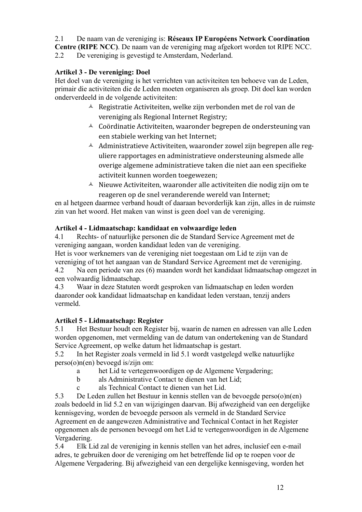2.1 De naam van de vereniging is: **Réseaux IP Européens Network Coordination Centre (RIPE NCC)**. De naam van de vereniging mag afgekort worden tot RIPE NCC. 2.2 De vereniging is gevestigd te Amsterdam, Nederland.

## **Artikel 3 - De vereniging: Doel**

Het doel van de vereniging is het verrichten van activiteiten ten behoeve van de Leden, primair die activiteiten die de Leden moeten organiseren als groep. Dit doel kan worden onderverdeeld in de volgende activiteiten:

- $\triangle$  Registratie Activiteiten, welke zijn verbonden met de rol van de vereniging als Regional Internet Registry;
- $\triangle$  Coördinatie Activiteiten, waaronder begrepen de ondersteuning van een stabiele werking van het Internet;
- $\triangle$  Administratieve Activiteiten, waaronder zowel zijn begrepen alle reguliere rapportages en administratieve ondersteuning alsmede alle overige algemene administratieve taken die niet aan een specifieke activiteit kunnen worden toegewezen;
- $\triangle$  Nieuwe Activiteiten, waaronder alle activiteiten die nodig zijn om te reageren op de snel veranderende wereld van Internet;

en al hetgeen daarmee verband houdt of daaraan bevorderlijk kan zijn, alles in de ruimste zin van het woord. Het maken van winst is geen doel van de vereniging.

## **Artikel 4 - Lidmaatschap: kandidaat en volwaardige leden**

4.1 Rechts- of natuurlijke personen die de Standard Service Agreement met de vereniging aangaan, worden kandidaat leden van de vereniging.

Het is voor werknemers van de vereniging niet toegestaan om Lid te zijn van de vereniging of tot het aangaan van de Standard Service Agreement met de vereniging. 4.2 Na een periode van zes (6) maanden wordt het kandidaat lidmaatschap omgezet in

een volwaardig lidmaatschap.

4.3 Waar in deze Statuten wordt gesproken van lidmaatschap en leden worden daaronder ook kandidaat lidmaatschap en kandidaat leden verstaan, tenzij anders vermeld.

## **Artikel 5 - Lidmaatschap: Register**

5.1 Het Bestuur houdt een Register bij, waarin de namen en adressen van alle Leden worden opgenomen, met vermelding van de datum van ondertekening van de Standard Service Agreement, op welke datum het lidmaatschap is gestart.

5.2 In het Register zoals vermeld in lid 5.1 wordt vastgelegd welke natuurlijke perso(o)n(en) bevoegd is/zijn om:

- a het Lid te vertegenwoordigen op de Algemene Vergadering;
- b als Administrative Contact te dienen van het Lid;
- c als Technical Contact te dienen van het Lid.

5.3 De Leden zullen het Bestuur in kennis stellen van de bevoegde perso(o)n(en) zoals bedoeld in lid 5.2 en van wijzigingen daarvan. Bij afwezigheid van een dergelijke kennisgeving, worden de bevoegde persoon als vermeld in de Standard Service Agreement en de aangewezen Administrative and Technical Contact in het Register opgenomen als de personen bevoegd om het Lid te vertegenwoordigen in de Algemene Vergadering.

5.4 Elk Lid zal de vereniging in kennis stellen van het adres, inclusief een e-mail adres, te gebruiken door de vereniging om het betreffende lid op te roepen voor de Algemene Vergadering. Bij afwezigheid van een dergelijke kennisgeving, worden het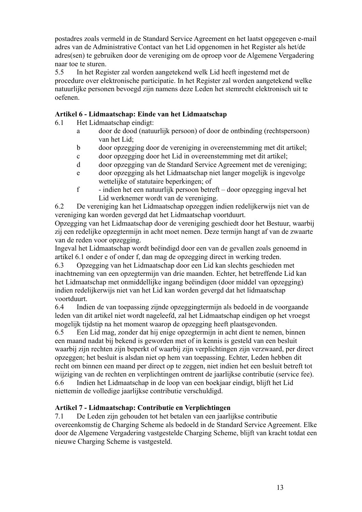postadres zoals vermeld in de Standard Service Agreement en het laatst opgegeven e-mail adres van de Administrative Contact van het Lid opgenomen in het Register als het/de adres(sen) te gebruiken door de vereniging om de oproep voor de Algemene Vergadering naar toe te sturen.

5.5 In het Register zal worden aangetekend welk Lid heeft ingestemd met de procedure over elektronische participatie. In het Register zal worden aangetekend welke natuurlijke personen bevoegd zijn namens deze Leden het stemrecht elektronisch uit te oefenen.

### **Artikel 6 - Lidmaatschap: Einde van het Lidmaatschap**

- 6.1 Het Lidmaatschap eindigt:
	- a door de dood (natuurlijk persoon) of door de ontbinding (rechtspersoon) van het Lid;
	- b door opzegging door de vereniging in overeenstemming met dit artikel;
	- c door opzegging door het Lid in overeenstemming met dit artikel;
	- d door opzegging van de Standard Service Agreement met de vereniging;
	- e door opzegging als het Lidmaatschap niet langer mogelijk is ingevolge wettelijke of statutaire beperkingen; of
	- f indien het een natuurlijk persoon betreft door opzegging ingeval het Lid werknemer wordt van de vereniging.

6.2 De vereniging kan het Lidmaatschap opzeggen indien redelijkerwijs niet van de vereniging kan worden gevergd dat het Lidmaatschap voortduurt.

Opzegging van het Lidmaatschap door de vereniging geschiedt door het Bestuur, waarbij zij een redelijke opzegtermijn in acht moet nemen. Deze termijn hangt af van de zwaarte van de reden voor opzegging.

Ingeval het Lidmaatschap wordt beëindigd door een van de gevallen zoals genoemd in artikel 6.1 onder e of onder f, dan mag de opzegging direct in werking treden.

6.3 Opzegging van het Lidmaatschap door een Lid kan slechts geschieden met inachtneming van een opzegtermijn van drie maanden. Echter, het betreffende Lid kan het Lidmaatschap met onmiddellijke ingang beëindigen (door middel van opzegging) indien redelijkerwijs niet van het Lid kan worden gevergd dat het lidmaatschap voortduurt.

6.4 Indien de van toepassing zijnde opzeggingtermijn als bedoeld in de voorgaande leden van dit artikel niet wordt nageleefd, zal het Lidmaatschap eindigen op het vroegst mogelijk tijdstip na het moment waarop de opzegging heeft plaatsgevonden.

6.5 Een Lid mag, zonder dat hij enige opzegtermijn in acht dient te nemen, binnen een maand nadat bij bekend is geworden met of in kennis is gesteld van een besluit waarbij zijn rechten zijn beperkt of waarbij zijn verplichtingen zijn verzwaard, per direct opzeggen; het besluit is alsdan niet op hem van toepassing. Echter, Leden hebben dit recht om binnen een maand per direct op te zeggen, niet indien het een besluit betreft tot wijziging van de rechten en verplichtingen omtrent de jaarlijkse contributie (service fee). 6.6 Indien het Lidmaatschap in de loop van een boekjaar eindigt, blijft het Lid niettemin de volledige jaarlijkse contributie verschuldigd.

### **Artikel 7 - Lidmaatschap: Contributie en Verplichtingen**

7.1 De Leden zijn gehouden tot het betalen van een jaarlijkse contributie overeenkomstig de Charging Scheme als bedoeld in de Standard Service Agreement. Elke door de Algemene Vergadering vastgestelde Charging Scheme, blijft van kracht totdat een nieuwe Charging Scheme is vastgesteld.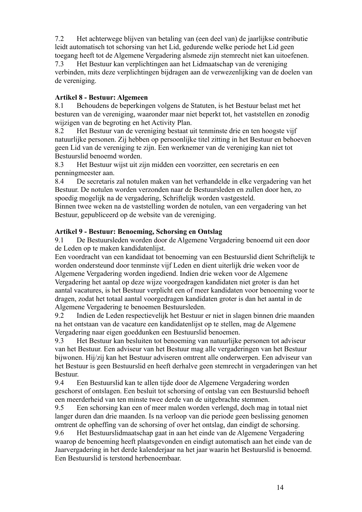7.2 Het achterwege blijven van betaling van (een deel van) de jaarlijkse contributie leidt automatisch tot schorsing van het Lid, gedurende welke periode het Lid geen toegang heeft tot de Algemene Vergadering alsmede zijn stemrecht niet kan uitoefenen. 7.3 Het Bestuur kan verplichtingen aan het Lidmaatschap van de vereniging verbinden, mits deze verplichtingen bijdragen aan de verwezenlijking van de doelen van de vereniging.

## **Artikel 8 - Bestuur: Algemeen**

8.1 Behoudens de beperkingen volgens de Statuten, is het Bestuur belast met het besturen van de vereniging, waaronder maar niet beperkt tot, het vaststellen en zonodig wijzigen van de begroting en het Activity Plan.

8.2 Het Bestuur van de vereniging bestaat uit tenminste drie en ten hoogste vijf natuurlijke personen. Zij hebben op persoonlijke titel zitting in het Bestuur en behoeven geen Lid van de vereniging te zijn. Een werknemer van de vereniging kan niet tot Bestuurslid benoemd worden.

8.3 Het Bestuur wijst uit zijn midden een voorzitter, een secretaris en een penningmeester aan.

8.4 De secretaris zal notulen maken van het verhandelde in elke vergadering van het Bestuur. De notulen worden verzonden naar de Bestuursleden en zullen door hen, zo spoedig mogelijk na de vergadering, Schriftelijk worden vastgesteld.

Binnen twee weken na de vaststelling worden de notulen, van een vergadering van het Bestuur, gepubliceerd op de website van de vereniging.

## **Artikel 9 - Bestuur: Benoeming, Schorsing en Ontslag**

9.1 De Bestuursleden worden door de Algemene Vergadering benoemd uit een door de Leden op te maken kandidatenlijst.

Een voordracht van een kandidaat tot benoeming van een Bestuurslid dient Schriftelijk te worden ondersteund door tenminste vijf Leden en dient uiterlijk drie weken voor de Algemene Vergadering worden ingediend. Indien drie weken voor de Algemene Vergadering het aantal op deze wijze voorgedragen kandidaten niet groter is dan het aantal vacatures, is het Bestuur verplicht een of meer kandidaten voor benoeming voor te dragen, zodat het totaal aantal voorgedragen kandidaten groter is dan het aantal in de Algemene Vergadering te benoemen Bestuursleden.

9.2 Indien de Leden respectievelijk het Bestuur er niet in slagen binnen drie maanden na het ontstaan van de vacature een kandidatenlijst op te stellen, mag de Algemene Vergadering naar eigen goeddunken een Bestuurslid benoemen.

9.3 Het Bestuur kan besluiten tot benoeming van natuurlijke personen tot adviseur van het Bestuur. Een adviseur van het Bestuur mag alle vergaderingen van het Bestuur bijwonen. Hij/zij kan het Bestuur adviseren omtrent alle onderwerpen. Een adviseur van het Bestuur is geen Bestuurslid en heeft derhalve geen stemrecht in vergaderingen van het Bestuur.

9.4 Een Bestuurslid kan te allen tijde door de Algemene Vergadering worden geschorst of ontslagen. Een besluit tot schorsing of ontslag van een Bestuurslid behoeft een meerderheid van ten minste twee derde van de uitgebrachte stemmen.

9.5 Een schorsing kan een of meer malen worden verlengd, doch mag in totaal niet langer duren dan drie maanden. Is na verloop van die periode geen beslissing genomen omtrent de opheffing van de schorsing of over het ontslag, dan eindigt de schorsing.

9.6 Het Bestuurslidmaatschap gaat in aan het einde van de Algemene Vergadering waarop de benoeming heeft plaatsgevonden en eindigt automatisch aan het einde van de Jaarvergadering in het derde kalenderjaar na het jaar waarin het Bestuurslid is benoemd. Een Bestuurslid is terstond herbenoembaar.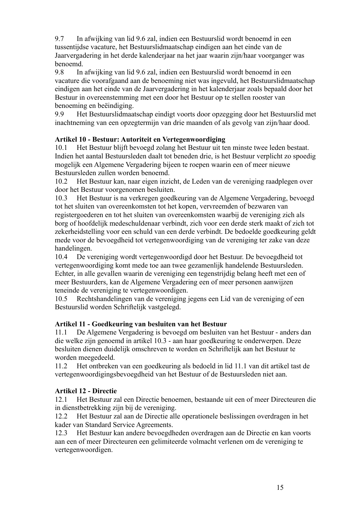9.7 In afwijking van lid 9.6 zal, indien een Bestuurslid wordt benoemd in een tussentijdse vacature, het Bestuurslidmaatschap eindigen aan het einde van de Jaarvergadering in het derde kalenderjaar na het jaar waarin zijn/haar voorganger was benoemd.

9.8 In afwijking van lid 9.6 zal, indien een Bestuurslid wordt benoemd in een vacature die voorafgaand aan de benoeming niet was ingevuld, het Bestuurslidmaatschap eindigen aan het einde van de Jaarvergadering in het kalenderjaar zoals bepaald door het Bestuur in overeenstemming met een door het Bestuur op te stellen rooster van benoeming en beëindiging.

9.9 Het Bestuurslidmaatschap eindigt voorts door opzegging door het Bestuurslid met inachtneming van een opzegtermijn van drie maanden of als gevolg van zijn/haar dood.

## **Artikel 10 - Bestuur: Autoriteit en Vertegenwoordiging**

10.1 Het Bestuur blijft bevoegd zolang het Bestuur uit ten minste twee leden bestaat. Indien het aantal Bestuursleden daalt tot beneden drie, is het Bestuur verplicht zo spoedig mogelijk een Algemene Vergadering bijeen te roepen waarin een of meer nieuwe Bestuursleden zullen worden benoemd.

10.2 Het Bestuur kan, naar eigen inzicht, de Leden van de vereniging raadplegen over door het Bestuur voorgenomen besluiten.

10.3 Het Bestuur is na verkregen goedkeuring van de Algemene Vergadering, bevoegd tot het sluiten van overeenkomsten tot het kopen, vervreemden of bezwaren van registergoederen en tot het sluiten van overeenkomsten waarbij de vereniging zich als borg of hoofdelijk medeschuldenaar verbindt, zich voor een derde sterk maakt of zich tot zekerheidstelling voor een schuld van een derde verbindt. De bedoelde goedkeuring geldt mede voor de bevoegdheid tot vertegenwoordiging van de vereniging ter zake van deze handelingen.

10.4 De vereniging wordt vertegenwoordigd door het Bestuur. De bevoegdheid tot vertegenwoordiging komt mede toe aan twee gezamenlijk handelende Bestuursleden. Echter, in alle gevallen waarin de vereniging een tegenstrijdig belang heeft met een of meer Bestuurders, kan de Algemene Vergadering een of meer personen aanwijzen teneinde de vereniging te vertegenwoordigen.

10.5 Rechtshandelingen van de vereniging jegens een Lid van de vereniging of een Bestuurslid worden Schriftelijk vastgelegd.

## **Artikel 11 - Goedkeuring van besluiten van het Bestuur**

11.1 De Algemene Vergadering is bevoegd om besluiten van het Bestuur - anders dan die welke zijn genoemd in artikel 10.3 - aan haar goedkeuring te onderwerpen. Deze besluiten dienen duidelijk omschreven te worden en Schriftelijk aan het Bestuur te worden meegedeeld.

11.2 Het ontbreken van een goedkeuring als bedoeld in lid 11.1 van dit artikel tast de vertegenwoordigingsbevoegdheid van het Bestuur of de Bestuursleden niet aan.

## **Artikel 12 - Directie**

12.1 Het Bestuur zal een Directie benoemen, bestaande uit een of meer Directeuren die in dienstbetrekking zijn bij de vereniging.

12.2 Het Bestuur zal aan de Directie alle operationele beslissingen overdragen in het kader van Standard Service Agreements.

12.3 Het Bestuur kan andere bevoegdheden overdragen aan de Directie en kan voorts aan een of meer Directeuren een gelimiteerde volmacht verlenen om de vereniging te vertegenwoordigen.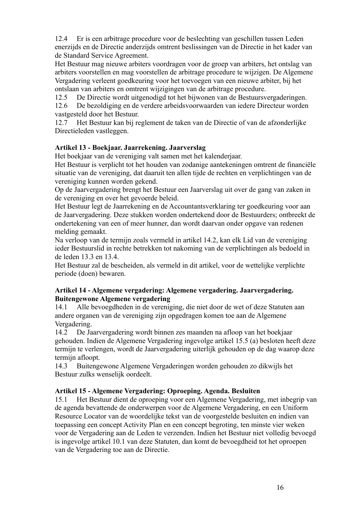12.4 Er is een arbitrage procedure voor de beslechting van geschillen tussen Leden enerzijds en de Directie anderzijds omtrent beslissingen van de Directie in het kader van de Standard Service Agreement.

Het Bestuur mag nieuwe arbiters voordragen voor de groep van arbiters, het ontslag van arbiters voorstellen en mag voorstellen de arbitrage procedure te wijzigen. De Algemene Vergadering verleent goedkeuring voor het toevoegen van een nieuwe arbiter, bij het ontslaan van arbiters en omtrent wijzigingen van de arbitrage procedure.

12.5 De Directie wordt uitgenodigd tot het bijwonen van de Bestuursvergaderingen.

12.6 De bezoldiging en de verdere arbeidsvoorwaarden van iedere Directeur worden vastgesteld door het Bestuur.

12.7 Het Bestuur kan bij reglement de taken van de Directie of van de afzonderlijke Directieleden vastleggen.

### **Artikel 13 - Boekjaar. Jaarrekening. Jaarverslag**

Het boekjaar van de vereniging valt samen met het kalenderjaar.

Het Bestuur is verplicht tot het houden van zodanige aantekeningen omtrent de financiële situatie van de vereniging, dat daaruit ten allen tijde de rechten en verplichtingen van de vereniging kunnen worden gekend.

Op de Jaarvergadering brengt het Bestuur een Jaarverslag uit over de gang van zaken in de vereniging en over het gevoerde beleid.

Het Bestuur legt de Jaarrekening en de Accountantsverklaring ter goedkeuring voor aan de Jaarvergadering. Deze stukken worden ondertekend door de Bestuurders; ontbreekt de ondertekening van een of meer hunner, dan wordt daarvan onder opgave van redenen melding gemaakt.

Na verloop van de termijn zoals vermeld in artikel 14.2, kan elk Lid van de vereniging ieder Bestuurslid in rechte betrekken tot nakoming van de verplichtingen als bedoeld in de leden 13.3 en 13.4.

Het Bestuur zal de bescheiden, als vermeld in dit artikel, voor de wettelijke verplichte periode (doen) bewaren.

### **Artikel 14 - Algemene vergadering: Algemene vergadering. Jaarvergadering. Buitengewone Algemene vergadering**

14.1 Alle bevoegdheden in de vereniging, die niet door de wet of deze Statuten aan andere organen van de vereniging zijn opgedragen komen toe aan de Algemene Vergadering.

14.2 De Jaarvergadering wordt binnen zes maanden na afloop van het boekjaar gehouden. Indien de Algemene Vergadering ingevolge artikel 15.5 (a) besloten heeft deze termijn te verlengen, wordt de Jaarvergadering uiterlijk gehouden op de dag waarop deze termiin afloopt.

14.3 Buitengewone Algemene Vergaderingen worden gehouden zo dikwijls het Bestuur zulks wenselijk oordeelt.

### **Artikel 15 - Algemene Vergadering: Oproeping. Agenda. Besluiten**

15.1 Het Bestuur dient de oproeping voor een Algemene Vergadering, met inbegrip van de agenda bevattende de onderwerpen voor de Algemene Vergadering, en een Uniform Resource Locator van de woordelijke tekst van de voorgestelde besluiten en indien van toepassing een concept Activity Plan en een concept begroting, ten minste vier weken voor de Vergadering aan de Leden te verzenden. Indien het Bestuur niet volledig bevoegd is ingevolge artikel 10.1 van deze Statuten, dan komt de bevoegdheid tot het oproepen van de Vergadering toe aan de Directie.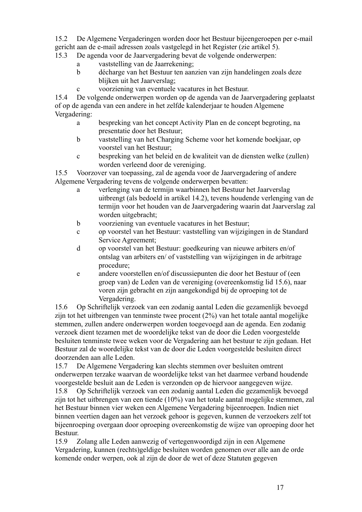15.2 De Algemene Vergaderingen worden door het Bestuur bijeengeroepen per e-mail gericht aan de e-mail adressen zoals vastgelegd in het Register (zie artikel 5).

15.3 De agenda voor de Jaarvergadering bevat de volgende onderwerpen:

- a vaststelling van de Jaarrekening;
- b décharge van het Bestuur ten aanzien van zijn handelingen zoals deze blijken uit het Jaarverslag;
- c voorziening van eventuele vacatures in het Bestuur.

15.4 De volgende onderwerpen worden op de agenda van de Jaarvergadering geplaatst of op de agenda van een andere in het zelfde kalenderjaar te houden Algemene Vergadering:

- a bespreking van het concept Activity Plan en de concept begroting, na presentatie door het Bestuur;
- b vaststelling van het Charging Scheme voor het komende boekjaar, op voorstel van het Bestuur;
- c bespreking van het beleid en de kwaliteit van de diensten welke (zullen) worden verleend door de vereniging.

15.5 Voorzover van toepassing, zal de agenda voor de Jaarvergadering of andere Algemene Vergadering tevens de volgende onderwerpen bevatten:

- a verlenging van de termijn waarbinnen het Bestuur het Jaarverslag uitbrengt (als bedoeld in artikel 14.2), tevens houdende verlenging van de termijn voor het houden van de Jaarvergadering waarin dat Jaarverslag zal worden uitgebracht;
- b voorziening van eventuele vacatures in het Bestuur;
- c op voorstel van het Bestuur: vaststelling van wijzigingen in de Standard Service Agreement;
- d op voorstel van het Bestuur: goedkeuring van nieuwe arbiters en/of ontslag van arbiters en/ of vaststelling van wijzigingen in de arbitrage procedure;
- e andere voorstellen en/of discussiepunten die door het Bestuur of (een groep van) de Leden van de vereniging (overeenkomstig lid 15.6), naar voren zijn gebracht en zijn aangekondigd bij de oproeping tot de Vergadering.

15.6 Op Schriftelijk verzoek van een zodanig aantal Leden die gezamenlijk bevoegd zijn tot het uitbrengen van tenminste twee procent (2%) van het totale aantal mogelijke stemmen, zullen andere onderwerpen worden toegevoegd aan de agenda. Een zodanig verzoek dient tezamen met de woordelijke tekst van de door die Leden voorgestelde besluiten tenminste twee weken voor de Vergadering aan het bestuur te zijn gedaan. Het Bestuur zal de woordelijke tekst van de door die Leden voorgestelde besluiten direct doorzenden aan alle Leden.

15.7 De Algemene Vergadering kan slechts stemmen over besluiten omtrent onderwerpen terzake waarvan de woordelijke tekst van het daarmee verband houdende voorgestelde besluit aan de Leden is verzonden op de hiervoor aangegeven wijze. 15.8 Op Schriftelijk verzoek van een zodanig aantal Leden die gezamenlijk bevoegd zijn tot het uitbrengen van een tiende (10%) van het totale aantal mogelijke stemmen, zal het Bestuur binnen vier weken een Algemene Vergadering bijeenroepen. Indien niet

binnen veertien dagen aan het verzoek gehoor is gegeven, kunnen de verzoekers zelf tot bijeenroeping overgaan door oproeping overeenkomstig de wijze van oproeping door het Bestuur.

15.9 Zolang alle Leden aanwezig of vertegenwoordigd zijn in een Algemene Vergadering, kunnen (rechts)geldige besluiten worden genomen over alle aan de orde komende onder werpen, ook al zijn de door de wet of deze Statuten gegeven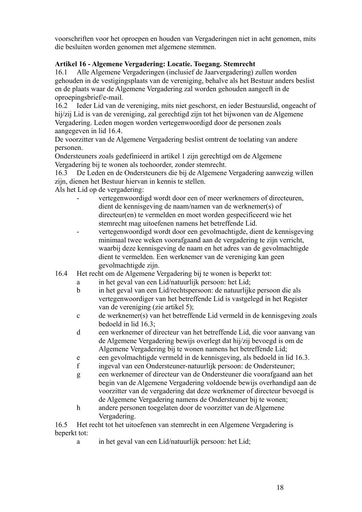voorschriften voor het oproepen en houden van Vergaderingen niet in acht genomen, mits die besluiten worden genomen met algemene stemmen.

## **Artikel 16 - Algemene Vergadering: Locatie. Toegang. Stemrecht**

16.1 Alle Algemene Vergaderingen (inclusief de Jaarvergadering) zullen worden gehouden in de vestigingsplaats van de vereniging, behalve als het Bestuur anders beslist en de plaats waar de Algemene Vergadering zal worden gehouden aangeeft in de oproepingsbrief/e-mail.

16.2 Ieder Lid van de vereniging, mits niet geschorst, en ieder Bestuurslid, ongeacht of hij/zij Lid is van de vereniging, zal gerechtigd zijn tot het bijwonen van de Algemene Vergadering. Leden mogen worden vertegenwoordigd door de personen zoals aangegeven in lid 16.4.

De voorzitter van de Algemene Vergadering beslist omtrent de toelating van andere personen.

Ondersteuners zoals gedefinieerd in artikel 1 zijn gerechtigd om de Algemene Vergadering bij te wonen als toehoorder, zonder stemrecht.

16.3 De Leden en de Ondersteuners die bij de Algemene Vergadering aanwezig willen zijn, dienen het Bestuur hiervan in kennis te stellen.

Als het Lid op de vergadering:

- vertegenwoordigd wordt door een of meer werknemers of directeuren, dient de kennisgeving de naam/namen van de werknemer(s) of directeur(en) te vermelden en moet worden gespecificeerd wie het stemrecht mag uitoefenen namens het betreffende Lid.
- vertegenwoordigd wordt door een gevolmachtigde, dient de kennisgeving minimaal twee weken voorafgaand aan de vergadering te zijn verricht, waarbij deze kennisgeving de naam en het adres van de gevolmachtigde dient te vermelden. Een werknemer van de vereniging kan geen gevolmachtigde zijn.
- 16.4 Het recht om de Algemene Vergadering bij te wonen is beperkt tot:
	- a in het geval van een Lid/natuurlijk persoon: het Lid;
	- b in het geval van een Lid/rechtspersoon: de natuurlijke persoon die als vertegenwoordiger van het betreffende Lid is vastgelegd in het Register van de vereniging (zie artikel 5);
	- c de werknemer(s) van het betreffende Lid vermeld in de kennisgeving zoals bedoeld in lid 16.3;
	- d een werknemer of directeur van het betreffende Lid, die voor aanvang van de Algemene Vergadering bewijs overlegt dat hij/zij bevoegd is om de Algemene Vergadering bij te wonen namens het betreffende Lid;
	- e een gevolmachtigde vermeld in de kennisgeving, als bedoeld in lid 16.3.
	- f ingeval van een Ondersteuner-natuurlijk persoon: de Ondersteuner;
	- g een werknemer of directeur van de Ondersteuner die voorafgaand aan het begin van de Algemene Vergadering voldoende bewijs overhandigd aan de voorzitter van de vergadering dat deze werknemer of directeur bevoegd is de Algemene Vergadering namens de Ondersteuner bij te wonen;
	- h andere personen toegelaten door de voorzitter van de Algemene Vergadering.

16.5 Het recht tot het uitoefenen van stemrecht in een Algemene Vergadering is beperkt tot:

a in het geval van een Lid/natuurlijk persoon: het Lid;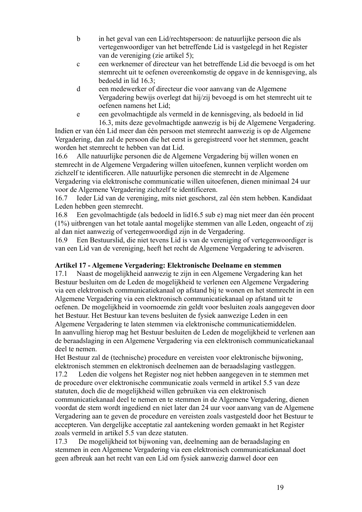- b in het geval van een Lid/rechtspersoon: de natuurlijke persoon die als vertegenwoordiger van het betreffende Lid is vastgelegd in het Register van de vereniging (zie artikel 5);
- c een werknemer of directeur van het betreffende Lid die bevoegd is om het stemrecht uit te oefenen overeenkomstig de opgave in de kennisgeving, als bedoeld in lid 16.3;
- d een medewerker of directeur die voor aanvang van de Algemene Vergadering bewijs overlegt dat hij/zij bevoegd is om het stemrecht uit te oefenen namens het Lid;
- e een gevolmachtigde als vermeld in de kennisgeving, als bedoeld in lid 16.3, mits deze gevolmachtigde aanwezig is bij de Algemene Vergadering.

Indien er van één Lid meer dan één persoon met stemrecht aanwezig is op de Algemene Vergadering, dan zal de persoon die het eerst is geregistreerd voor het stemmen, geacht worden het stemrecht te hebben van dat Lid.

16.6 Alle natuurlijke personen die de Algemene Vergadering bij willen wonen en stemrecht in de Algemene Vergadering willen uitoefenen, kunnen verplicht worden om zichzelf te identificeren. Alle natuurlijke personen die stemrecht in de Algemene Vergadering via elektronische communicatie willen uitoefenen, dienen minimaal 24 uur voor de Algemene Vergadering zichzelf te identificeren.

16.7 Ieder Lid van de vereniging, mits niet geschorst, zal één stem hebben. Kandidaat Leden hebben geen stemrecht.

16.8 Een gevolmachtigde (als bedoeld in lid16.5 sub e) mag niet meer dan één procent (1%) uitbrengen van het totale aantal mogelijke stemmen van alle Leden, ongeacht of zij al dan niet aanwezig of vertegenwoordigd zijn in de Vergadering.

16.9 Een Bestuurslid, die niet tevens Lid is van de vereniging of vertegenwoordiger is van een Lid van de vereniging, heeft het recht de Algemene Vergadering te adviseren.

## **Artikel 17 - Algemene Vergadering: Elektronische Deelname en stemmen**

17.1 Naast de mogelijkheid aanwezig te zijn in een Algemene Vergadering kan het Bestuur besluiten om de Leden de mogelijkheid te verlenen een Algemene Vergadering via een elektronisch communicatiekanaal op afstand bij te wonen en het stemrecht in een Algemene Vergadering via een elektronisch communicatiekanaal op afstand uit te oefenen. De mogelijkheid in voornoemde zin geldt voor besluiten zoals aangegeven door het Bestuur. Het Bestuur kan tevens besluiten de fysiek aanwezige Leden in een Algemene Vergadering te laten stemmen via elektronische communicatiemiddelen. In aanvulling hierop mag het Bestuur besluiten de Leden de mogelijkheid te verlenen aan de beraadslaging in een Algemene Vergadering via een elektronisch communicatiekanaal deel te nemen.

Het Bestuur zal de (technische) procedure en vereisten voor elektronische bijwoning, elektronisch stemmen en elektronisch deelnemen aan de beraadslaging vastleggen.

17.2 Leden die volgens het Register nog niet hebben aangegeven in te stemmen met de procedure over elektronische communicatie zoals vermeld in artikel 5.5 van deze statuten, doch die de mogelijkheid willen gebruiken via een elektronisch communicatiekanaal deel te nemen en te stemmen in de Algemene Vergadering, dienen voordat de stem wordt ingediend en niet later dan 24 uur voor aanvang van de Algemene Vergadering aan te geven de procedure en vereisten zoals vastgesteld door het Bestuur te accepteren. Van dergelijke acceptatie zal aantekening worden gemaakt in het Register zoals vermeld in artikel 5.5 van deze statuten.

17.3 De mogelijkheid tot bijwoning van, deelneming aan de beraadslaging en stemmen in een Algemene Vergadering via een elektronisch communicatiekanaal doet geen afbreuk aan het recht van een Lid om fysiek aanwezig danwel door een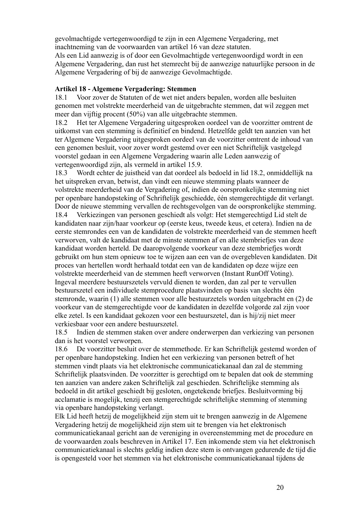gevolmachtigde vertegenwoordigd te zijn in een Algemene Vergadering, met inachtneming van de voorwaarden van artikel 16 van deze statuten.

Als een Lid aanwezig is of door een Gevolmachtigde vertegenwoordigd wordt in een Algemene Vergadering, dan rust het stemrecht bij de aanwezige natuurlijke persoon in de Algemene Vergadering of bij de aanwezige Gevolmachtigde.

### **Artikel 18 - Algemene Vergadering: Stemmen**

18.1 Voor zover de Statuten of de wet niet anders bepalen, worden alle besluiten genomen met volstrekte meerderheid van de uitgebrachte stemmen, dat wil zeggen met meer dan vijftig procent (50%) van alle uitgebrachte stemmen.

18.2 Het ter Algemene Vergadering uitgesproken oordeel van de voorzitter omtrent de uitkomst van een stemming is definitief en bindend. Hetzelfde geldt ten aanzien van het ter Algemene Vergadering uitgesproken oordeel van de voorzitter omtrent de inhoud van een genomen besluit, voor zover wordt gestemd over een niet Schriftelijk vastgelegd voorstel gedaan in een Algemene Vergadering waarin alle Leden aanwezig of vertegenwoordigd zijn, als vermeld in artikel 15.9.

18.3 Wordt echter de juistheid van dat oordeel als bedoeld in lid 18.2, onmiddellijk na het uitspreken ervan, betwist, dan vindt een nieuwe stemming plaats wanneer de volstrekte meerderheid van de Vergadering of, indien de oorspronkelijke stemming niet per openbare handopsteking of Schriftelijk geschiedde, één stemgerechtigde dit verlangt. Door de nieuwe stemming vervallen de rechtsgevolgen van de oorspronkelijke stemming. 18.4 Verkiezingen van personen geschiedt als volgt: Het stemgerechtigd Lid stelt de kandidaten naar zijn/haar voorkeur op (eerste keus, tweede keus, et cetera). Indien na de eerste stemrondes een van de kandidaten de volstrekte meerderheid van de stemmen heeft verworven, valt de kandidaat met de minste stemmen af en alle stembriefjes van deze kandidaat worden herteld. De daaropvolgende voorkeur van deze stembriefjes wordt gebruikt om hun stem opnieuw toe te wijzen aan een van de overgebleven kandidaten. Dit proces van hertellen wordt herhaald totdat een van de kandidaten op deze wijze een volstrekte meerderheid van de stemmen heeft verworven (Instant RunOff Voting). Ingeval meerdere bestuurszetels vervuld dienen te worden, dan zal per te vervullen bestuurszetel een individuele stemprocedure plaatsvinden op basis van slechts één stemronde, waarin (1) alle stemmen voor alle bestuurzetels worden uitgebracht en (2) de voorkeur van de stemgerechtigde voor de kandidaten in dezelfde volgorde zal zijn voor elke zetel. Is een kandidaat gekozen voor een bestuurszetel, dan is hij/zij niet meer verkiesbaar voor een andere bestuurszetel.

18.5 Indien de stemmen staken over andere onderwerpen dan verkiezing van personen dan is het voorstel verworpen.

18.6 De voorzitter besluit over de stemmethode. Er kan Schriftelijk gestemd worden of per openbare handopsteking. Indien het een verkiezing van personen betreft of het stemmen vindt plaats via het elektronische communicatiekanaal dan zal de stemming Schriftelijk plaatsvinden. De voorzitter is gerechtigd om te bepalen dat ook de stemming ten aanzien van andere zaken Schriftelijk zal geschieden. Schriftelijke stemming als bedoeld in dit artikel geschiedt bij gesloten, ongetekende briefjes. Besluitvorming bij acclamatie is mogelijk, tenzij een stemgerechtigde schriftelijke stemming of stemming via openbare handopsteking verlangt.

Elk Lid heeft hetzij de mogelijkheid zijn stem uit te brengen aanwezig in de Algemene Vergadering hetzij de mogelijkheid zijn stem uit te brengen via het elektronisch communicatiekanaal gericht aan de vereniging in overeenstemming met de procedure en de voorwaarden zoals beschreven in Artikel 17. Een inkomende stem via het elektronisch communicatiekanaal is slechts geldig indien deze stem is ontvangen gedurende de tijd die is opengesteld voor het stemmen via het elektronische communicatiekanaal tijdens de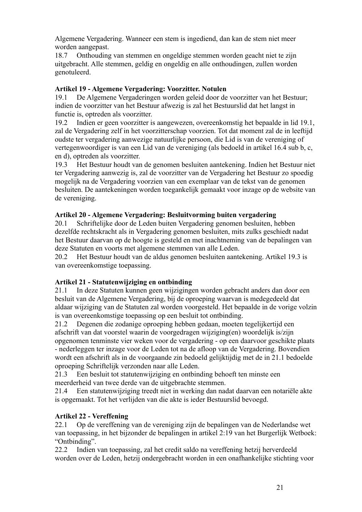Algemene Vergadering. Wanneer een stem is ingediend, dan kan de stem niet meer worden aangepast.

18.7 Onthouding van stemmen en ongeldige stemmen worden geacht niet te zijn uitgebracht. Alle stemmen, geldig en ongeldig en alle onthoudingen, zullen worden genotuleerd.

### **Artikel 19 - Algemene Vergadering: Voorzitter. Notulen**

19.1 De Algemene Vergaderingen worden geleid door de voorzitter van het Bestuur; indien de voorzitter van het Bestuur afwezig is zal het Bestuurslid dat het langst in functie is, optreden als voorzitter.

19.2 Indien er geen voorzitter is aangewezen, overeenkomstig het bepaalde in lid 19.1, zal de Vergadering zelf in het voorzitterschap voorzien. Tot dat moment zal de in leeftijd oudste ter vergadering aanwezige natuurlijke persoon, die Lid is van de vereniging of vertegenwoordiger is van een Lid van de vereniging (als bedoeld in artikel 16.4 sub b, c, en d), optreden als voorzitter.

19.3 Het Bestuur houdt van de genomen besluiten aantekening. Indien het Bestuur niet ter Vergadering aanwezig is, zal de voorzitter van de Vergadering het Bestuur zo spoedig mogelijk na de Vergadering voorzien van een exemplaar van de tekst van de genomen besluiten. De aantekeningen worden toegankelijk gemaakt voor inzage op de website van de vereniging.

### **Artikel 20 - Algemene Vergadering: Besluitvorming buiten vergadering**

20.1 Schriftelijke door de Leden buiten Vergadering genomen besluiten, hebben dezelfde rechtskracht als in Vergadering genomen besluiten, mits zulks geschiedt nadat het Bestuur daarvan op de hoogte is gesteld en met inachtneming van de bepalingen van deze Statuten en voorts met algemene stemmen van alle Leden.

20.2 Het Bestuur houdt van de aldus genomen besluiten aantekening. Artikel 19.3 is van overeenkomstige toepassing.

## **Artikel 21 - Statutenwijziging en ontbinding**

21.1 In deze Statuten kunnen geen wijzigingen worden gebracht anders dan door een besluit van de Algemene Vergadering, bij de oproeping waarvan is medegedeeld dat aldaar wijziging van de Statuten zal worden voorgesteld. Het bepaalde in de vorige volzin is van overeenkomstige toepassing op een besluit tot ontbinding.

21.2 Degenen die zodanige oproeping hebben gedaan, moeten tegelijkertijd een afschrift van dat voorstel waarin de voorgedragen wijziging(en) woordelijk is/zijn opgenomen tenminste vier weken voor de vergadering - op een daarvoor geschikte plaats - nederleggen ter inzage voor de Leden tot na de afloop van de Vergadering. Bovendien wordt een afschrift als in de voorgaande zin bedoeld gelijktijdig met de in 21.1 bedoelde oproeping Schriftelijk verzonden naar alle Leden.

21.3 Een besluit tot statutenwijziging en ontbinding behoeft ten minste een meerderheid van twee derde van de uitgebrachte stemmen.

21.4 Een statutenwijziging treedt niet in werking dan nadat daarvan een notariële akte is opgemaakt. Tot het verlijden van die akte is ieder Bestuurslid bevoegd.

### **Artikel 22 - Vereffening**

22.1 Op de vereffening van de vereniging zijn de bepalingen van de Nederlandse wet van toepassing, in het bijzonder de bepalingen in artikel 2:19 van het Burgerlijk Wetboek: "Ontbinding".

22.2 Indien van toepassing, zal het credit saldo na vereffening hetzij herverdeeld worden over de Leden, hetzij ondergebracht worden in een onafhankelijke stichting voor